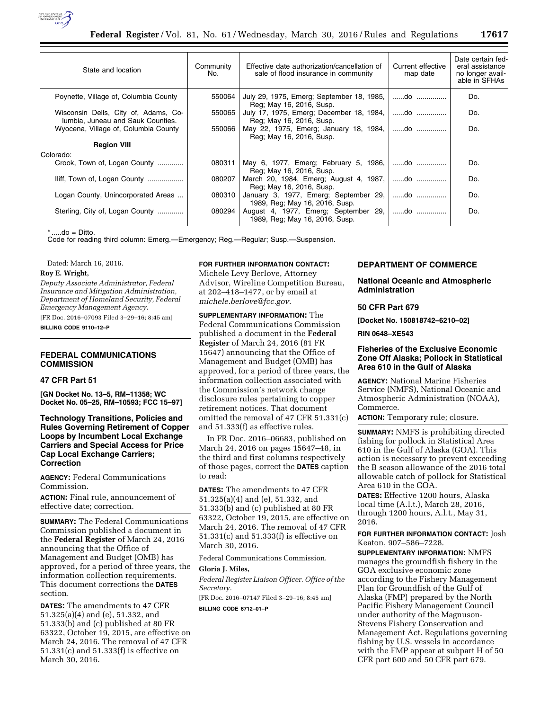

| State and location                                                        | Community<br>No. | Effective date authorization/cancellation of<br>sale of flood insurance in community | Current effective<br>map date | Date certain fed-<br>eral assistance<br>no longer avail-<br>able in SFHAs |
|---------------------------------------------------------------------------|------------------|--------------------------------------------------------------------------------------|-------------------------------|---------------------------------------------------------------------------|
| Poynette, Village of, Columbia County                                     | 550064           | July 29, 1975, Emerg; September 18, 1985,   do<br>Reg; May 16, 2016, Susp.           |                               | Do.                                                                       |
| Wisconsin Dells, City of, Adams, Co-<br>lumbia, Juneau and Sauk Counties. | 550065           | July 17, 1975, Emerg; December 18, 1984,   do<br>Reg; May 16, 2016, Susp.            |                               | Do.                                                                       |
| Wyocena, Village of, Columbia County                                      | 550066           | May 22, 1975, Emerg; January 18, 1984,   do<br>Reg; May 16, 2016, Susp.              |                               | Do.                                                                       |
| <b>Region VIII</b>                                                        |                  |                                                                                      |                               |                                                                           |
| Colorado:                                                                 |                  |                                                                                      |                               |                                                                           |
| Crook, Town of, Logan County                                              | 080311           | May 6, 1977, Emerg; February 5, 1986,   do<br>Reg; May 16, 2016, Susp.               |                               | Do.                                                                       |
| lliff, Town of, Logan County                                              | 080207           | March 20, 1984, Emerg; August 4, 1987,   do<br>Reg; May 16, 2016, Susp.              |                               | Do.                                                                       |
| Logan County, Unincorporated Areas                                        | 080310           | January 3, 1977, Emerg; September 29, do<br>1989, Reg; May 16, 2016, Susp.           |                               | Do.                                                                       |
| Sterling, City of, Logan County                                           | 080294           | August 4, 1977, Emerg; September 29,   do<br>1989, Reg; May 16, 2016, Susp.          |                               | Do.                                                                       |

 $...$ do = Ditto.

Code for reading third column: Emerg.—Emergency; Reg.—Regular; Susp.—Suspension.

Dated: March 16, 2016.

**Roy E. Wright,** 

*Deputy Associate Administrator, Federal Insurance and Mitigation Administration, Department of Homeland Security, Federal Emergency Management Agency.* 

[FR Doc. 2016–07093 Filed 3–29–16; 8:45 am] **BILLING CODE 9110–12–P** 

## **FEDERAL COMMUNICATIONS COMMISSION**

## **47 CFR Part 51**

**[GN Docket No. 13–5, RM–11358; WC Docket No. 05–25, RM–10593; FCC 15–97]** 

## **Technology Transitions, Policies and Rules Governing Retirement of Copper Loops by Incumbent Local Exchange Carriers and Special Access for Price Cap Local Exchange Carriers; Correction**

**AGENCY:** Federal Communications Commission.

**ACTION:** Final rule, announcement of effective date; correction.

**SUMMARY:** The Federal Communications Commission published a document in the **Federal Register** of March 24, 2016 announcing that the Office of Management and Budget (OMB) has approved, for a period of three years, the information collection requirements. This document corrections the **DATES** section.

**DATES:** The amendments to 47 CFR 51.325(a)(4) and (e), 51.332, and 51.333(b) and (c) published at 80 FR 63322, October 19, 2015, are effective on March 24, 2016. The removal of 47 CFR 51.331(c) and 51.333(f) is effective on March 30, 2016.

# **FOR FURTHER INFORMATION CONTACT:**

Michele Levy Berlove, Attorney Advisor, Wireline Competition Bureau, at 202–418–1477, or by email at *[michele.berlove@fcc.gov.](mailto:michele.berlove@fcc.gov)* 

**SUPPLEMENTARY INFORMATION:** The Federal Communications Commission published a document in the **Federal Register** of March 24, 2016 (81 FR 15647) announcing that the Office of Management and Budget (OMB) has approved, for a period of three years, the information collection associated with the Commission's network change disclosure rules pertaining to copper retirement notices. That document omitted the removal of 47 CFR 51.331(c) and 51.333(f) as effective rules.

In FR Doc. 2016–06683, published on March 24, 2016 on pages 15647–48, in the third and first columns respectively of those pages, correct the **DATES** caption to read:

**DATES:** The amendments to 47 CFR 51.325(a)(4) and (e), 51.332, and 51.333(b) and (c) published at 80 FR 63322, October 19, 2015, are effective on March 24, 2016. The removal of 47 CFR 51.331(c) and 51.333(f) is effective on March 30, 2016.

Federal Communications Commission.

## **Gloria J. Miles,**

*Federal Register Liaison Officer. Office of the Secretary.* 

[FR Doc. 2016–07147 Filed 3–29–16; 8:45 am] **BILLING CODE 6712–01–P** 

# **DEPARTMENT OF COMMERCE**

**National Oceanic and Atmospheric Administration** 

## **50 CFR Part 679**

**[Docket No. 150818742–6210–02]** 

**RIN 0648–XE543** 

## **Fisheries of the Exclusive Economic Zone Off Alaska; Pollock in Statistical Area 610 in the Gulf of Alaska**

**AGENCY:** National Marine Fisheries Service (NMFS), National Oceanic and Atmospheric Administration (NOAA), Commerce.

**ACTION:** Temporary rule; closure.

**SUMMARY:** NMFS is prohibiting directed fishing for pollock in Statistical Area 610 in the Gulf of Alaska (GOA). This action is necessary to prevent exceeding the B season allowance of the 2016 total allowable catch of pollock for Statistical Area 610 in the GOA.

**DATES:** Effective 1200 hours, Alaska local time (A.l.t.), March 28, 2016, through 1200 hours, A.l.t., May 31, 2016.

## **FOR FURTHER INFORMATION CONTACT:** Josh Keaton, 907–586–7228.

**SUPPLEMENTARY INFORMATION:** NMFS manages the groundfish fishery in the GOA exclusive economic zone according to the Fishery Management Plan for Groundfish of the Gulf of Alaska (FMP) prepared by the North Pacific Fishery Management Council under authority of the Magnuson-Stevens Fishery Conservation and Management Act. Regulations governing fishing by U.S. vessels in accordance with the FMP appear at subpart H of 50 CFR part 600 and 50 CFR part 679.